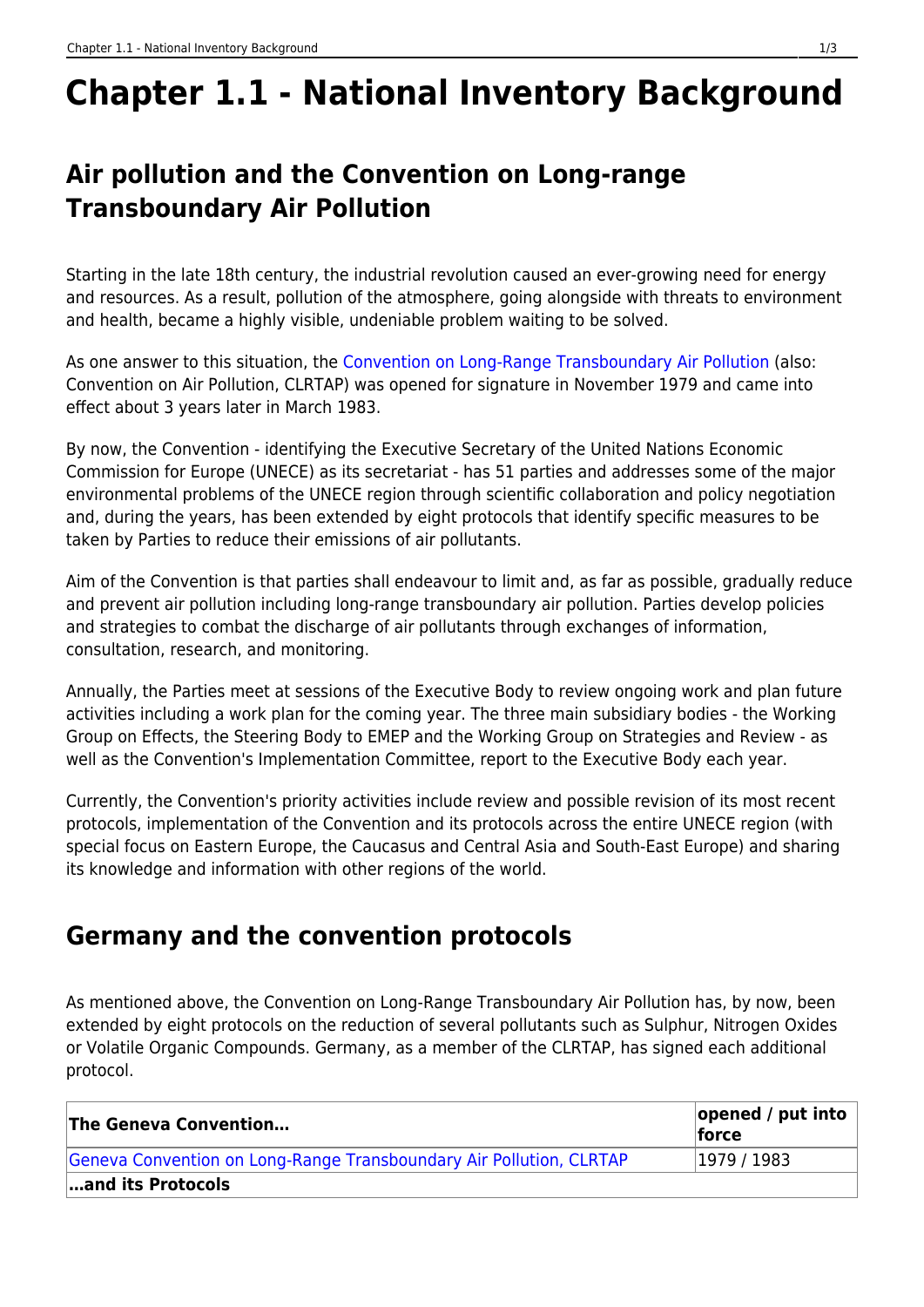# **Chapter 1.1 - National Inventory Background**

# **Air pollution and the Convention on Long-range Transboundary Air Pollution**

Starting in the late 18th century, the industrial revolution caused an ever-growing need for energy and resources. As a result, pollution of the atmosphere, going alongside with threats to environment and health, became a highly visible, undeniable problem waiting to be solved.

As one answer to this situation, the [Convention on Long-Range Transboundary Air Pollution](https://unece.org/environment-policy/air) (also: Convention on Air Pollution, CLRTAP) was opened for signature in November 1979 and came into effect about 3 years later in March 1983.

By now, the Convention - identifying the Executive Secretary of the United Nations Economic Commission for Europe (UNECE) as its secretariat - has 51 parties and addresses some of the major environmental problems of the UNECE region through scientific collaboration and policy negotiation and, during the years, has been extended by eight protocols that identify specific measures to be taken by Parties to reduce their emissions of air pollutants.

Aim of the Convention is that parties shall endeavour to limit and, as far as possible, gradually reduce and prevent air pollution including long-range transboundary air pollution. Parties develop policies and strategies to combat the discharge of air pollutants through exchanges of information, consultation, research, and monitoring.

Annually, the Parties meet at sessions of the Executive Body to review ongoing work and plan future activities including a work plan for the coming year. The three main subsidiary bodies - the Working Group on Effects, the Steering Body to EMEP and the Working Group on Strategies and Review - as well as the Convention's Implementation Committee, report to the Executive Body each year.

Currently, the Convention's priority activities include review and possible revision of its most recent protocols, implementation of the Convention and its protocols across the entire UNECE region (with special focus on Eastern Europe, the Caucasus and Central Asia and South-East Europe) and sharing its knowledge and information with other regions of the world.

## **Germany and the convention protocols**

As mentioned above, the Convention on Long-Range Transboundary Air Pollution has, by now, been extended by eight protocols on the reduction of several pollutants such as Sulphur, Nitrogen Oxides or Volatile Organic Compounds. Germany, as a member of the CLRTAP, has signed each additional protocol.

| The Geneva Convention                                               | $ opened / put$ into<br><b>force</b> |
|---------------------------------------------------------------------|--------------------------------------|
| Geneva Convention on Long-Range Transboundary Air Pollution, CLRTAP | 1979/1983                            |
| and its Protocols                                                   |                                      |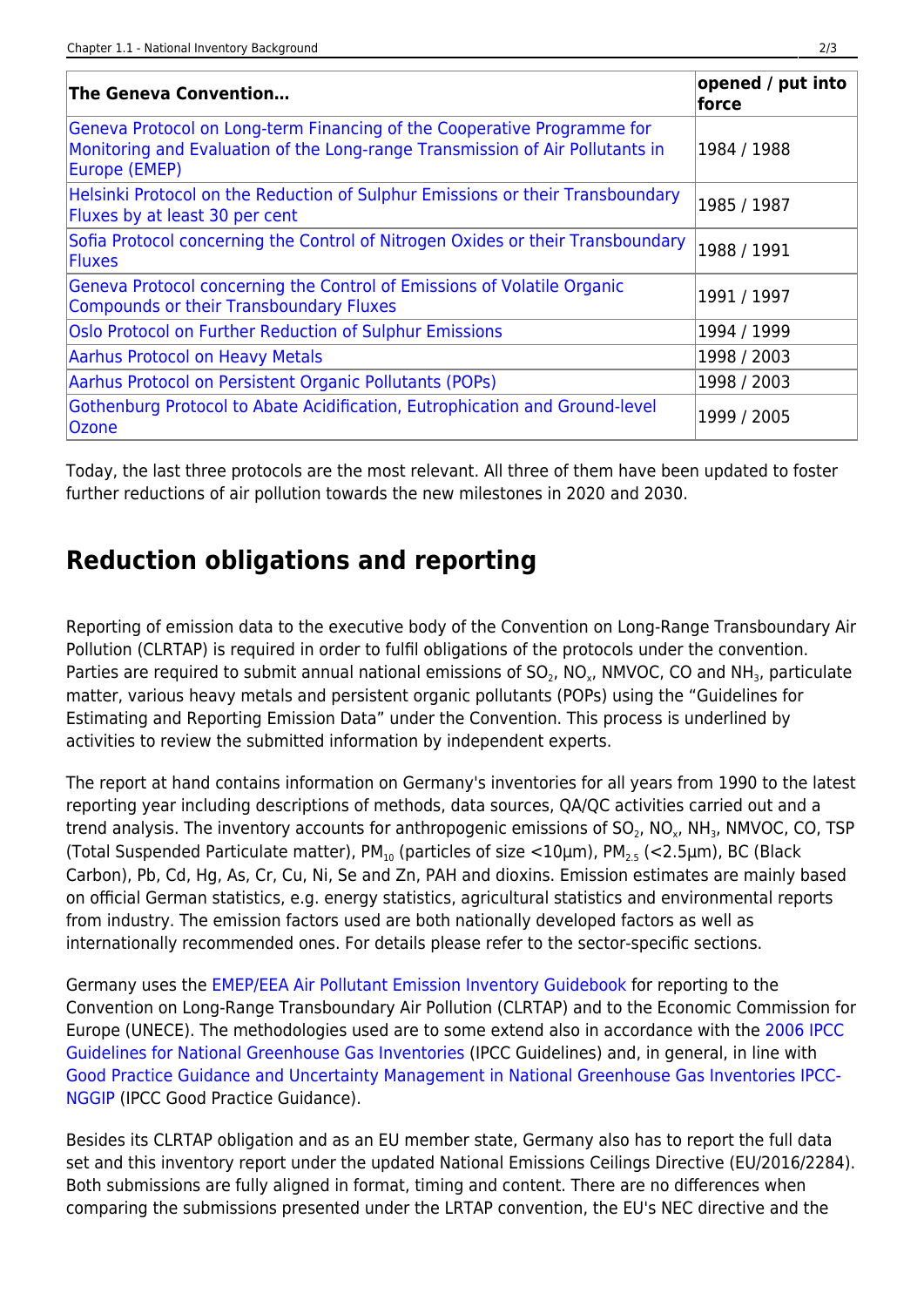| <b>The Geneva Convention</b>                                                                                                                                              | opened / put into<br>force |
|---------------------------------------------------------------------------------------------------------------------------------------------------------------------------|----------------------------|
| Geneva Protocol on Long-term Financing of the Cooperative Programme for<br>Monitoring and Evaluation of the Long-range Transmission of Air Pollutants in<br>Europe (EMEP) | 1984 / 1988                |
| Helsinki Protocol on the Reduction of Sulphur Emissions or their Transboundary<br>Fluxes by at least 30 per cent                                                          | 1985 / 1987                |
| Sofia Protocol concerning the Control of Nitrogen Oxides or their Transboundary<br><b>Fluxes</b>                                                                          | 1988 / 1991                |
| Geneva Protocol concerning the Control of Emissions of Volatile Organic<br><b>Compounds or their Transboundary Fluxes</b>                                                 | 1991 / 1997                |
| Oslo Protocol on Further Reduction of Sulphur Emissions                                                                                                                   | 1994 / 1999                |
| <b>Aarhus Protocol on Heavy Metals</b>                                                                                                                                    | 1998 / 2003                |
| Aarhus Protocol on Persistent Organic Pollutants (POPs)                                                                                                                   | 1998 / 2003                |
| Gothenburg Protocol to Abate Acidification, Eutrophication and Ground-level<br>Ozone                                                                                      | 1999 / 2005                |

Today, the last three protocols are the most relevant. All three of them have been updated to foster further reductions of air pollution towards the new milestones in 2020 and 2030.

### **Reduction obligations and reporting**

Reporting of emission data to the executive body of the Convention on Long-Range Transboundary Air Pollution (CLRTAP) is required in order to fulfil obligations of the protocols under the convention. Parties are required to submit annual national emissions of SO<sub>2</sub>, NO<sub>x</sub>, NMVOC, CO and NH<sub>3</sub>, particulate matter, various heavy metals and persistent organic pollutants (POPs) using the "Guidelines for Estimating and Reporting Emission Data" under the Convention. This process is underlined by activities to review the submitted information by independent experts.

The report at hand contains information on Germany's inventories for all years from 1990 to the latest reporting year including descriptions of methods, data sources, QA/QC activities carried out and a trend analysis. The inventory accounts for anthropogenic emissions of SO<sub>2</sub>, NO<sub>x</sub>, NH<sub>3</sub>, NMVOC, CO, TSP (Total Suspended Particulate matter),  $PM_{10}$  (particles of size <10 $\mu$ m),  $PM_{2.5}$  (<2.5 $\mu$ m), BC (Black Carbon), Pb, Cd, Hg, As, Cr, Cu, Ni, Se and Zn, PAH and dioxins. Emission estimates are mainly based on official German statistics, e.g. energy statistics, agricultural statistics and environmental reports from industry. The emission factors used are both nationally developed factors as well as internationally recommended ones. For details please refer to the sector-specific sections.

Germany uses the [EMEP/EEA Air Pollutant Emission Inventory Guidebook](https://www.eea.europa.eu/publications/emep-eea-guidebook-2019) for reporting to the Convention on Long-Range Transboundary Air Pollution (CLRTAP) and to the Economic Commission for Europe (UNECE). The methodologies used are to some extend also in accordance with the [2006 IPCC](https://www.ipcc-nggip.iges.or.jp/public/2006gl/index.html) [Guidelines for National Greenhouse Gas Inventories](https://www.ipcc-nggip.iges.or.jp/public/2006gl/index.html) (IPCC Guidelines) and, in general, in line with [Good Practice Guidance and Uncertainty Management in National Greenhouse Gas Inventories IPCC-](https://www.ipcc-nggip.iges.or.jp/public/gp/english)[NGGIP](https://www.ipcc-nggip.iges.or.jp/public/gp/english) (IPCC Good Practice Guidance).

Besides its CLRTAP obligation and as an EU member state, Germany also has to report the full data set and this inventory report under the updated National Emissions Ceilings Directive (EU/2016/2284). Both submissions are fully aligned in format, timing and content. There are no differences when comparing the submissions presented under the LRTAP convention, the EU's NEC directive and the